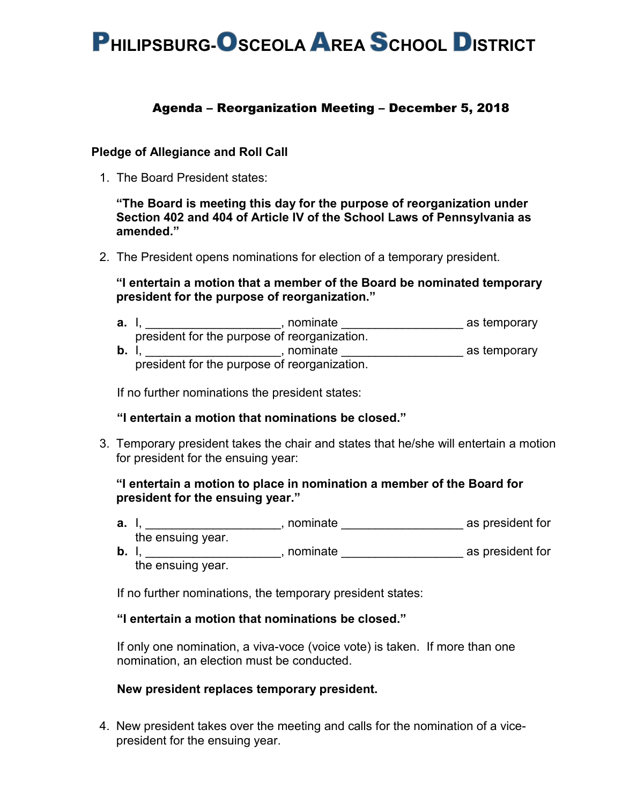# **PHILIPSBURG-OSCEOLA AREA SCHOOL DISTRICT**

# Agenda – Reorganization Meeting – December 5, 2018

#### **Pledge of Allegiance and Roll Call**

1. The Board President states:

**"The Board is meeting this day for the purpose of reorganization under Section 402 and 404 of Article IV of the School Laws of Pennsylvania as amended."**

2. The President opens nominations for election of a temporary president.

#### **"I entertain a motion that a member of the Board be nominated temporary president for the purpose of reorganization."**

**a.** I, \_\_\_\_\_\_\_\_\_\_\_\_\_\_\_\_\_\_\_\_\_\_, nominate \_\_\_\_\_\_\_\_\_\_\_\_\_\_\_\_\_\_\_\_\_\_\_ as temporary president for the purpose of reorganization. **b.** I, \_\_\_\_\_\_\_\_\_\_\_\_\_\_\_\_\_\_\_\_, nominate \_\_\_\_\_\_\_\_\_\_\_\_\_\_\_\_\_\_ as temporary

president for the purpose of reorganization.

If no further nominations the president states:

## **"I entertain a motion that nominations be closed."**

3. Temporary president takes the chair and states that he/she will entertain a motion for president for the ensuing year:

## **"I entertain a motion to place in nomination a member of the Board for president for the ensuing year."**

- **a.** I, \_\_\_\_\_\_\_\_\_\_\_\_\_\_\_\_\_\_\_\_, nominate \_\_\_\_\_\_\_\_\_\_\_\_\_\_\_\_\_\_ as president for the ensuing year.
- **b.** I, \_\_\_\_\_\_\_\_\_\_\_\_\_\_\_\_\_\_\_\_, nominate \_\_\_\_\_\_\_\_\_\_\_\_\_\_\_\_\_\_ as president for the ensuing year.

If no further nominations, the temporary president states:

#### **"I entertain a motion that nominations be closed."**

If only one nomination, a viva-voce (voice vote) is taken. If more than one nomination, an election must be conducted.

#### **New president replaces temporary president.**

4. New president takes over the meeting and calls for the nomination of a vicepresident for the ensuing year.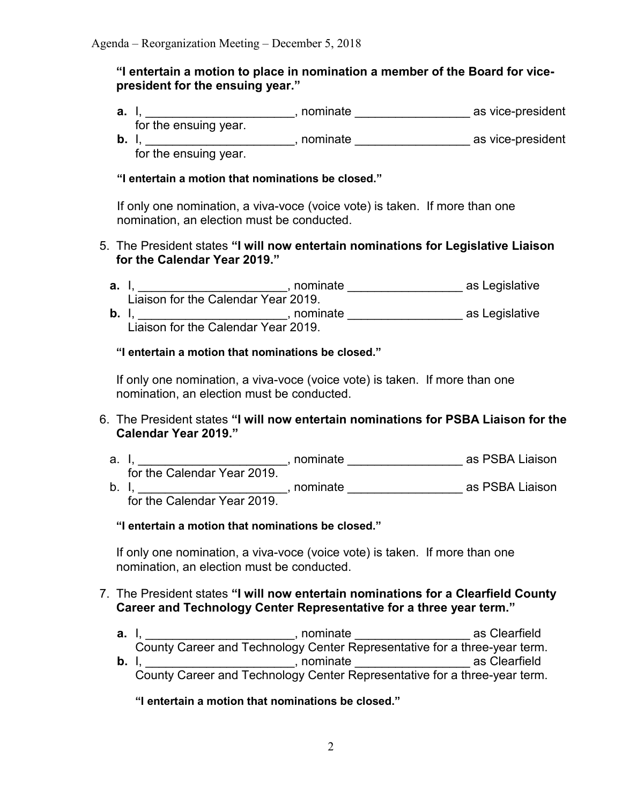## **"I entertain a motion to place in nomination a member of the Board for vicepresident for the ensuing year."**

- **a.** I, \_\_\_\_\_\_\_\_\_\_\_\_\_\_\_\_\_\_\_\_\_\_\_, nominate \_\_\_\_\_\_\_\_\_\_\_\_\_\_\_\_\_\_\_\_\_\_\_\_\_\_\_\_\_ as vice-president for the ensuing year.
- **b.** I, \_\_\_\_\_\_\_\_\_\_\_\_\_\_\_\_\_\_\_\_\_\_, nominate \_\_\_\_\_\_\_\_\_\_\_\_\_\_\_\_\_ as vice-president for the ensuing year.

## **"I entertain a motion that nominations be closed."**

If only one nomination, a viva-voce (voice vote) is taken. If more than one nomination, an election must be conducted.

# 5. The President states **"I will now entertain nominations for Legislative Liaison for the Calendar Year 2019."**

**a.** I, \_\_\_\_\_\_\_\_\_\_\_\_\_\_\_\_\_\_\_\_\_\_, nominate \_\_\_\_\_\_\_\_\_\_\_\_\_\_\_\_\_ as Legislative Liaison for the Calendar Year 2019. **b.** I, \_\_\_\_\_\_\_\_\_\_\_\_\_\_\_\_\_\_\_\_\_\_, nominate \_\_\_\_\_\_\_\_\_\_\_\_\_\_\_\_\_ as Legislative Liaison for the Calendar Year 2019.

# **"I entertain a motion that nominations be closed."**

If only one nomination, a viva-voce (voice vote) is taken. If more than one nomination, an election must be conducted.

- 6. The President states **"I will now entertain nominations for PSBA Liaison for the Calendar Year 2019."**
	- a. I, \_\_\_\_\_\_\_\_\_\_\_\_\_\_\_\_\_\_\_\_\_\_, nominate \_\_\_\_\_\_\_\_\_\_\_\_\_\_\_\_\_\_\_\_ as PSBA Liaison . for the Calendar Year 2019. b. I, \_\_\_\_\_\_\_\_\_\_\_\_\_\_\_\_\_\_\_\_\_\_, nominate \_\_\_\_\_\_\_\_\_\_\_\_\_\_\_\_\_\_\_\_ as PSBA Liaison

for the Calendar Year 2019.

# **"I entertain a motion that nominations be closed."**

If only one nomination, a viva-voce (voice vote) is taken. If more than one nomination, an election must be conducted.

# 7. The President states **"I will now entertain nominations for a Clearfield County Career and Technology Center Representative for a three year term."**

- **a.** I, **a. b**  $\overline{a}$ , **nominate as Clearfield** County Career and Technology Center Representative for a three-year term.
- **b.** I, \_\_\_\_\_\_\_\_\_\_\_\_\_\_\_\_\_\_\_\_\_\_\_, nominate \_\_\_\_\_\_\_\_\_\_\_\_\_\_\_\_\_\_\_\_\_\_\_\_\_\_\_\_ as Clearfield County Career and Technology Center Representative for a three-year term.

**"I entertain a motion that nominations be closed."**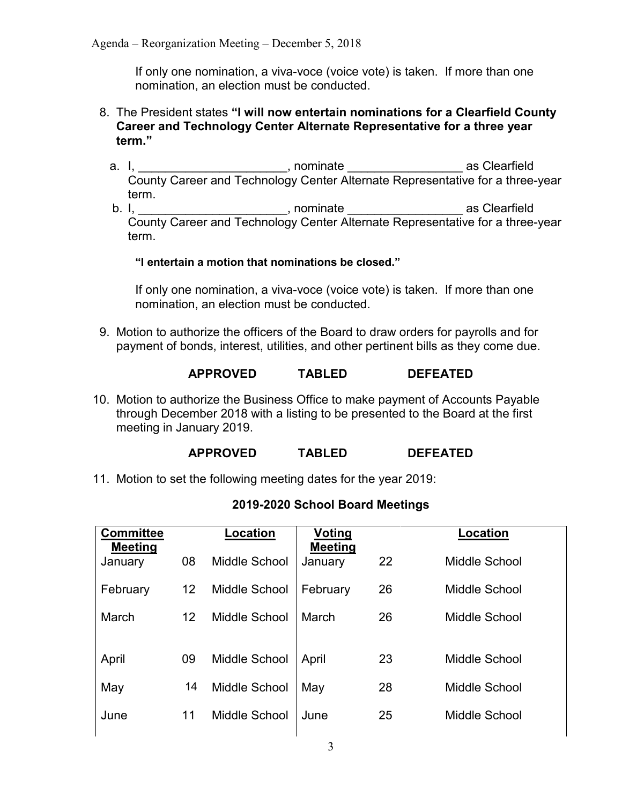If only one nomination, a viva-voce (voice vote) is taken. If more than one nomination, an election must be conducted.

- 8. The President states **"I will now entertain nominations for a Clearfield County Career and Technology Center Alternate Representative for a three year term."**
	- a. I, \_\_\_\_\_\_\_\_\_\_\_\_\_\_\_\_\_\_\_\_, nominate \_\_\_\_\_\_\_\_\_\_\_\_\_\_\_\_\_\_\_\_\_\_\_\_\_\_\_\_\_\_\_\_ as Clearfield County Career and Technology Center Alternate Representative for a three-year term.

b. I, \_\_\_\_\_\_\_\_\_\_\_\_\_\_\_\_\_\_\_\_\_\_, nominate \_\_\_\_\_\_\_\_\_\_\_\_\_\_\_\_\_ as Clearfield County Career and Technology Center Alternate Representative for a three-year term.

#### **"I entertain a motion that nominations be closed."**

If only one nomination, a viva-voce (voice vote) is taken. If more than one nomination, an election must be conducted.

9. Motion to authorize the officers of the Board to draw orders for payrolls and for payment of bonds, interest, utilities, and other pertinent bills as they come due.

## **APPROVED TABLED DEFEATED**

10. Motion to authorize the Business Office to make payment of Accounts Payable through December 2018 with a listing to be presented to the Board at the first meeting in January 2019.

## **APPROVED TABLED DEFEATED**

11. Motion to set the following meeting dates for the year 2019:

| <b>Committee</b><br><b>Meeting</b> |                   | <b>Location</b>      | Voting<br><b>Meeting</b> |    | <b>Location</b>      |
|------------------------------------|-------------------|----------------------|--------------------------|----|----------------------|
| January                            | 08                | Middle School        | January                  | 22 | Middle School        |
| February                           | $12 \overline{ }$ | Middle School        | February                 | 26 | Middle School        |
| March                              | 12 <sup>2</sup>   | Middle School        | March                    | 26 | <b>Middle School</b> |
|                                    |                   |                      |                          |    |                      |
| April                              | 09                | <b>Middle School</b> | April                    | 23 | Middle School        |
| May                                | 14                | <b>Middle School</b> | May                      | 28 | Middle School        |
| June                               | 11                | Middle School        | June                     | 25 | Middle School        |
|                                    |                   |                      |                          |    |                      |

# **2019-2020 School Board Meetings**